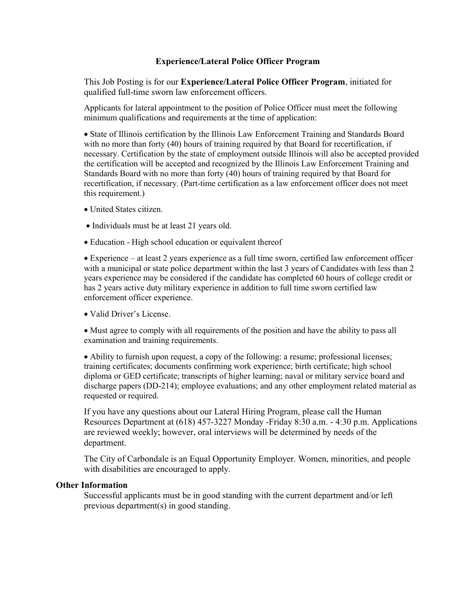#### Experience/Lateral Police Officer Program

This Job Posting is for our Experience/Lateral Police Officer Program, initiated for qualified full-time sworn law enforcement officers.

Applicants for lateral appointment to the position of Police Officer must meet the following minimum qualifications and requirements at the time of application:

 State of Illinois certification by the Illinois Law Enforcement Training and Standards Board with no more than forty (40) hours of training required by that Board for recertification, if necessary. Certification by the state of employment outside Illinois will also be accepted provided the certification will be accepted and recognized by the Illinois Law Enforcement Training and Standards Board with no more than forty (40) hours of training required by that Board for recertification, if necessary. (Part-time certification as a law enforcement officer does not meet this requirement.)

- United States citizen.
- Individuals must be at least 21 years old.
- Education High school education or equivalent thereof

 Experience – at least 2 years experience as a full time sworn, certified law enforcement officer with a municipal or state police department within the last 3 years of Candidates with less than 2 years experience may be considered if the candidate has completed 60 hours of college credit or has 2 years active duty military experience in addition to full time sworn certified law enforcement officer experience.

Valid Driver's License.

 Must agree to comply with all requirements of the position and have the ability to pass all examination and training requirements.

 Ability to furnish upon request, a copy of the following: a resume; professional licenses; training certificates; documents confirming work experience; birth certificate; high school diploma or GED certificate; transcripts of higher learning; naval or military service board and discharge papers (DD-214); employee evaluations; and any other employment related material as requested or required.

If you have any questions about our Lateral Hiring Program, please call the Human Resources Department at (618) 457-3227 Monday -Friday 8:30 a.m. - 4:30 p.m. Applications are reviewed weekly; however, oral interviews will be determined by needs of the department.

The City of Carbondale is an Equal Opportunity Employer. Women, minorities, and people with disabilities are encouraged to apply.

#### Other Information

Successful applicants must be in good standing with the current department and/or left previous department(s) in good standing.